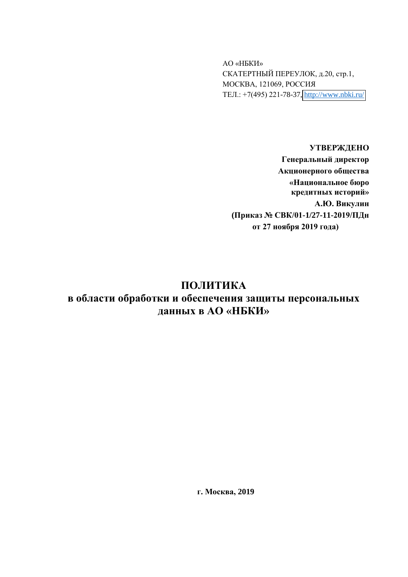**АО** «НБКИ» СКАТЕРТНЫЙ ПЕРЕУЛОК, д.20, стр.1, МОСКВА, 121069, РОССИЯ ТЕЛ.: +7(495) 221-78-37, http://www.nbki.ru/

**УТВЕРЖДЕНО** Генеральный директор Акционерного общества «Национальное бюро кредитных историй» А.Ю. Викулин (Приказ № СВК/01-1/27-11-2019/ПДн от 27 ноября 2019 года)

# ПОЛИТИКА

# в области обработки и обеспечения защиты персональных данных в АО «НБКИ»

г. Москва, 2019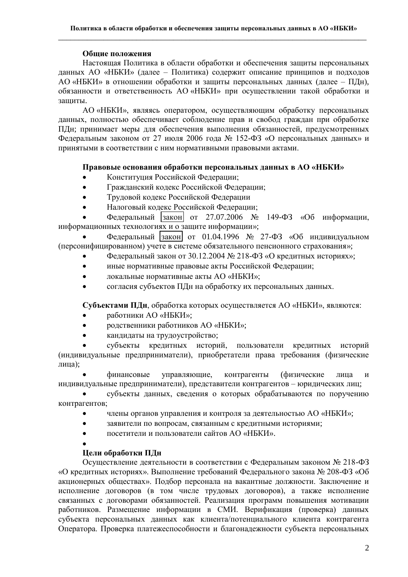### Обшие положения

Настоящая Политика в области обработки и обеспечения защиты персональных данных АО «НБКИ» (далее - Политика) содержит описание принципов и подходов АО «НБКИ» в отношении обработки и защиты персональных данных (далее - ПДн), обязанности и ответственность АО «НБКИ» при осуществлении такой обработки и зашиты.

АО «НБКИ», являясь оператором, осуществляющим обработку персональных данных, полностью обеспечивает соблюдение прав и свобод граждан при обработке ПДн; принимает меры для обеспечения выполнения обязанностей, предусмотренных Федеральным законом от 27 июля 2006 года № 152-ФЗ «О персональных данных» и принятыми в соответствии с ним нормативными правовыми актами.

## Правовые основания обработки персональных данных в АО «НБКИ»

- Конституция Российской Федерации;
- Гражданский кодекс Российской Федерации;  $\bullet$
- Трудовой кодекс Российской Федерации  $\bullet$
- Налоговый кодекс Российской Федерации;  $\bullet$

Фелеральный закон от 27.07.2006 № 149-ФЗ «Об информации, информационных технологиях и о защите информации»;

Федеральный закон от 01.04.1996 № 27-ФЗ «Об индивидуальном (персонифицированном) учете в системе обязательного пенсионного страхования»;

- Федеральный закон от 30.12.2004 № 218-ФЗ «О кредитных историях»;
- $\bullet$ иные нормативные правовые акты Российской Федерации;
- $\bullet$ локальные нормативные акты АО «НБКИ»;
- согласия субъектов ПДн на обработку их персональных данных.

Субъектами ПДн, обработка которых осуществляется АО «НБКИ», являются:

- работники AO «НБКИ»;
- родственники работников АО «НБКИ»;  $\bullet$
- $\bullet$ кандидаты на трудоустройство;

субъекты кредитных историй, пользователи кредитных историй (индивидуальные предприниматели), приобретатели права требования (физические лица);

финансовые управляющие. контрагенты (физические лица  $\mathbf{M}$ индивидуальные предприниматели), представители контрагентов - юридических лиц;

субъекты данных, сведения о которых обрабатываются по поручению контрагентов;

- члены органов управления и контроля за деятельностью АО «НБКИ»;  $\bullet$
- $\bullet$ заявители по вопросам, связанным с кредитными историями;
- посетители и пользователи сайтов АО «НБКИ».  $\bullet$
- 

# Цели обработки ПДн

Осуществление деятельности в соответствии с Федеральным законом № 218-ФЗ «О кредитных историях». Выполнение требований Федерального закона № 208-ФЗ «Об акционерных обществах». Подбор персонала на вакантные должности. Заключение и исполнение договоров (в том числе трудовых договоров), а также исполнение связанных с договорами обязанностей. Реализация программ повышения мотивации работников. Размещение информации в СМИ. Верификация (проверка) данных субъекта персональных данных как клиента/потенциального клиента контрагента Оператора. Проверка платежеспособности и благонадежности субъекта персональных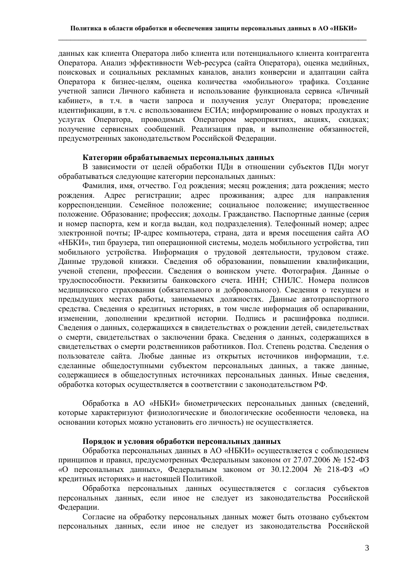данных как клиента Оператора либо клиента или потенциального клиента контрагента Оператора. Анализ эффективности Web-ресурса (сайта Оператора), оценка медийных, поисковых и социальных рекламных каналов, анализ конверсии и адаптации сайта Оператора к бизнес-целям, оценка количества «мобильного» трафика. Создание учетной записи Личного кабинета и использование функционала сервиса «Личный кабинет», в т.ч. в части запроса и получения услуг Оператора; проведение идентификации, в т.ч. с использованием ЕСИА; информирование о новых продуктах и услугах Оператора, проводимых Оператором мероприятиях, акциях, скидках; получение сервисных сообщений. Реализация прав, и выполнение обязанностей, предусмотренных законодательством Российской Федерации.

#### Категории обрабатываемых персональных данных

В зависимости от целей обработки ПДн в отношении субъектов ПДн могут обрабатываться следующие категории персональных данных:

Фамилия, имя, отчество. Год рождения; месяц рождения; дата рождения; место рождения. Адрес регистрации; адрес проживания; адрес для направления корреспонденции. Семейное положение; социальное положение; имущественное положение. Образование: профессия: доходы. Гражданство. Паспортные данные (серия и номер паспорта, кем и когда выдан, код подразделения). Телефонный номер; адрес электронной почты; IP-адрес компьютера, страна, дата и время посещения сайта AO «НБКИ», тип браузера, тип операционной системы, модель мобильного устройства, тип мобильного устройства. Информация о трудовой деятельности, трудовом стаже. Данные трудовой книжки. Сведения об образовании, повышении квалификации, ученой степени, профессии. Сведения о воинском учете. Фотография. Данные о трудоспособности. Реквизиты банковского счета. ИНН; СНИЛС. Номера полисов медицинского страхования (обязательного и добровольного). Сведения о текущем и предыдущих местах работы, занимаемых должностях. Данные автотранспортного средства. Сведения о кредитных историях, в том числе информация об оспаривании, изменении, дополнении кредитной истории. Подпись и расшифровка подписи. Сведения о данных, содержащихся в свидетельствах о рождении детей, свидетельствах о смерти, свидетельствах о заключении брака. Сведения о данных, содержащихся в свидетельствах о смерти родственников работников. Пол. Степень родства. Сведения о пользователе сайта. Любые данные из открытых источников информации, т.е. сделанные общедоступными субъектом персональных данных, а также данные, содержащиеся в общедоступных источниках персональных данных. Иные сведения, обработка которых осуществляется в соответствии с законодательством РФ.

Обработка в АО «НБКИ» биометрических персональных данных (сведений, которые характеризуют физиологические и биологические особенности человека, на основании которых можно установить его личность) не осуществляется.

#### Порядок и условия обработки персональных данных

Обработка персональных данных в АО «НБКИ» осуществляется с соблюдением принципов и правил, предусмотренных Федеральным законом от 27.07.2006 № 152-ФЗ «О персональных данных», Федеральным законом от 30.12.2004 № 218-ФЗ «О кредитных историях» и настоящей Политикой.

Обработка персональных данных осуществляется с согласия субъектов персональных данных, если иное не следует из законодательства Российской Федерации.

Согласие на обработку персональных данных может быть отозвано субъектом персональных данных, если иное не следует из законодательства Российской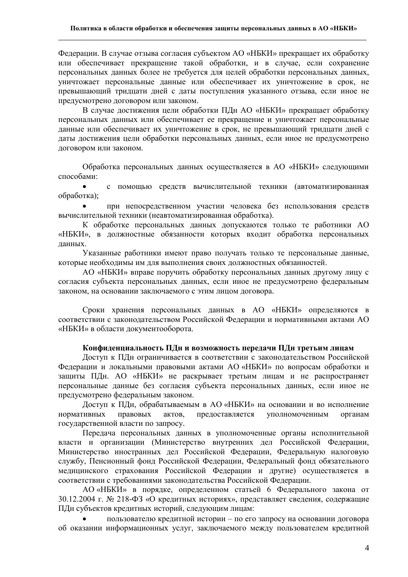Федерации. В случае отзыва согласия субъектом АО «НБКИ» прекращает их обработку или обеспечивает прекращение такой обработки, и в случае, если сохранение персональных данных более не требуется для целей обработки персональных данных, уничтожает персональные данные или обеспечивает их уничтожение в срок, не превышающий тридцати дней с даты поступления указанного отзыва, если иное не предусмотрено договором или законом.

В случае достижения цели обработки ПДн АО «НБКИ» прекращает обработку персональных данных или обеспечивает ее прекращение и уничтожает персональные данные или обеспечивает их уничтожение в срок, не превышающий тридцати дней с даты достижения цели обработки персональных данных, если иное не предусмотрено договором или законом.

Обработка персональных данных осуществляется в АО «НБКИ» следующими способами:

с помощью средств вычислительной техники (автоматизированная  $\bullet$ обработка):

при непосредственном участии человека без использования средств вычислительной техники (неавтоматизированная обработка).

К обработке персональных данных допускаются только те работники АО «НБКИ», в должностные обязанности которых входит обработка персональных данных.

Указанные работники имеют право получать только те персональные данные. которые необходимы им для выполнения своих должностных обязанностей.

АО «НБКИ» вправе поручить обработку персональных данных другому лицу с согласия субъекта персональных данных, если иное не предусмотрено федеральным законом, на основании заключаемого с этим лицом договора.

Сроки хранения персональных данных в АО «НБКИ» определяются в соответствии с законодательством Российской Федерации и нормативными актами АО «НБКИ» в области документооборота.

#### Конфиденциальность ПДн и возможность передачи ПДн третьим лицам

Доступ к ПДн ограничивается в соответствии с законодательством Российской Федерации и локальными правовыми актами АО «НБКИ» по вопросам обработки и защиты ПДн. АО «НБКИ» не раскрывает третьим лицам и не распространяет персональные данные без согласия субъекта персональных данных, если иное не предусмотрено федеральным законом.

Доступ к ПДн, обрабатываемым в АО «НБКИ» на основании и во исполнение нормативных правовых предоставляется уполномоченным актов, органам государственной власти по запросу.

Передача персональных данных в уполномоченные органы исполнительной власти и организации (Министерство внутренних дел Российской Федерации, Министерство иностранных дел Российской Федерации, Федеральную налоговую службу. Пенсионный фонд Российской Федерации, Федеральный фонд обязательного медицинского страхования Российской Федерации и другие) осуществляется в соответствии с требованиями законодательства Российской Федерации.

АО «НБКИ» в порядке, определенном статьей 6 Федерального закона от 30.12.2004 г. № 218-ФЗ «О кредитных историях», представляет сведения, содержащие ПДн субъектов кредитных историй, следующим лицам:

пользователю кредитной истории - по его запросу на основании договора об оказании информационных услуг, заключаемого между пользователем кредитной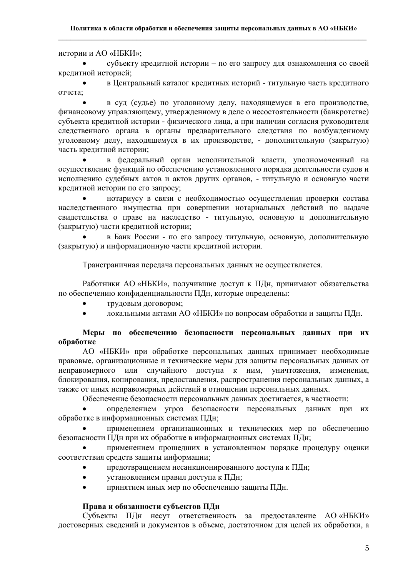истории и AO «НБКИ»;

субъекту кредитной истории - по его запросу для ознакомления со своей кредитной историей;

в Центральный каталог кредитных историй - титульную часть кредитного отчета:

в суд (судье) по уголовному делу, находящемуся в его производстве, финансовому управляющему, утвержденному в деле о несостоятельности (банкротстве) субъекта кредитной истории - физического лица, а при наличии согласия руководителя следственного органа в органы предварительного следствия по возбужденному уголовному делу, находящемуся в их производстве, - дополнительную (закрытую) .<br>часть кредитной истории;

в федеральный орган исполнительной власти, уполномоченный на осуществление функций по обеспечению установленного порядка деятельности судов и исполнению судебных актов и актов других органов, - титульную и основную части кредитной истории по его запросу;

нотариусу в связи с необходимостью осуществления проверки состава наследственного имущества при совершении нотариальных действий по выдаче свидетельства о праве на наследство - титульную, основную и дополнительную (закрытую) части кредитной истории;

в Банк России - по его запросу титульную, основную, дополнительную (закрытую) и информационную части кредитной истории.

Трансграничная передача персональных данных не осуществляется.

Работники АО «НБКИ», получившие доступ к ПДн, принимают обязательства по обеспечению конфиденциальности ПДн, которые определены:

- трудовым договором;
- $\bullet$ локальными актами АО «НБКИ» по вопросам обработки и зашиты ПЛн.

## Меры по обеспечению безопасности персональных данных при их обработке

АО «НБКИ» при обработке персональных данных принимает необходимые правовые, организационные и технические меры для защиты персональных данных от неправомерного или случайного доступа к ним, уничтожения, изменения, блокирования, копирования, предоставления, распространения персональных данных, а также от иных неправомерных действий в отношении персональных данных.

Обеспечение безопасности персональных данных достигается, в частности:

определением угроз безопасности персональных данных при их обработке в информационных системах ПДн;

применением организационных и технических мер по обеспечению безопасности ПДн при их обработке в информационных системах ПДн;

применением прошелших в установленном порядке процедуру оценки соответствия средств защиты информации;

- предотвращением несанкционированного доступа к ПДн;
- $\bullet$ установлением правил доступа к ПДн;
- принятием иных мер по обеспечению защиты ПДн.  $\bullet$

## Права и обязанности субъектов ПДн

Субъекты ПДн несут ответственность за предоставление АО «НБКИ» достоверных сведений и документов в объеме, достаточном для целей их обработки, а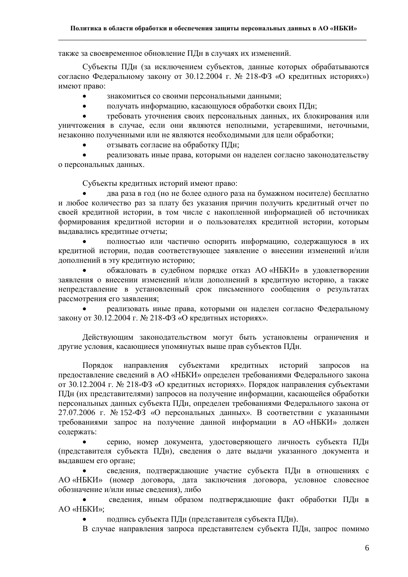также за своевременное обновление ПДн в случаях их изменений.

Субъекты ПЛн (за исключением субъектов, данные которых обрабатываются согласно Федеральному закону от 30.12.2004 г. № 218-ФЗ «О кредитных историях») имеют право:

- знакомиться со своими персональными данными;
- получать информацию, касающуюся обработки своих ПДн;  $\bullet$

требовать уточнения своих персональных данных, их блокирования или уничтожения в случае, если они являются неполными, устаревшими, неточными, незаконно полученными или не являются необходимыми для цели обработки;

отзывать согласие на обработку ПДн;

реализовать иные права, которыми он наделен согласно законодательству о персональных данных.

Субъекты кредитных историй имеют право:

два раза в год (но не более одного раза на бумажном носителе) бесплатно и любое количество раз за плату без указания причин получить кредитный отчет по своей кредитной истории, в том числе с накопленной информацией об источниках формирования кредитной истории и о пользователях кредитной истории, которым выдавались кредитные отчеты;

полностью или частично оспорить информацию, содержащуюся в их кредитной истории, подав соответствующее заявление о внесении изменений и/или дополнений в эту кредитную историю;

обжаловать в судебном порядке отказ АО «НБКИ» в удовлетворении заявления о внесении изменений и/или дополнений в кредитную историю, а также непредставление в установленный срок письменного сообщения о результатах рассмотрения его заявления:

реализовать иные права, которыми он наделен согласно Федеральному закону от 30.12.2004 г. № 218-ФЗ «О кредитных историях».

Действующим законодательством могут быть установлены ограничения и другие условия, касающиеся упомянутых выше прав субъектов ПДн.

Порялок направления субъектами кредитных историй запросов на предоставление сведений в АО «НБКИ» определен требованиями Федерального закона от 30.12.2004 г. № 218-ФЗ «О кредитных историях». Порядок направления субъектами ПДн (их представителями) запросов на получение информации, касающейся обработки персональных данных субъекта ПДн, определен требованиями Федерального закона от 27.07.2006 г. № 152-ФЗ «О персональных данных». В соответствии с указанными требованиями запрос на получение данной информации в АО «НБКИ» должен содержать:

серию, номер документа, удостоверяющего личность субъекта ПДн (представителя субъекта ПДн), сведения о дате выдачи указанного документа и выдавшем его органе;

сведения, подтверждающие участие субъекта ПДн в отношениях с АО «НБКИ» (номер договора, дата заключения договора, условное словесное обозначение и/или иные сведения), либо

сведения, иным образом подтверждающие факт обработки ПДн в АО «НБКИ»;

подпись субъекта ПДн (представителя субъекта ПДн).

В случае направления запроса представителем субъекта ПДн, запрос помимо